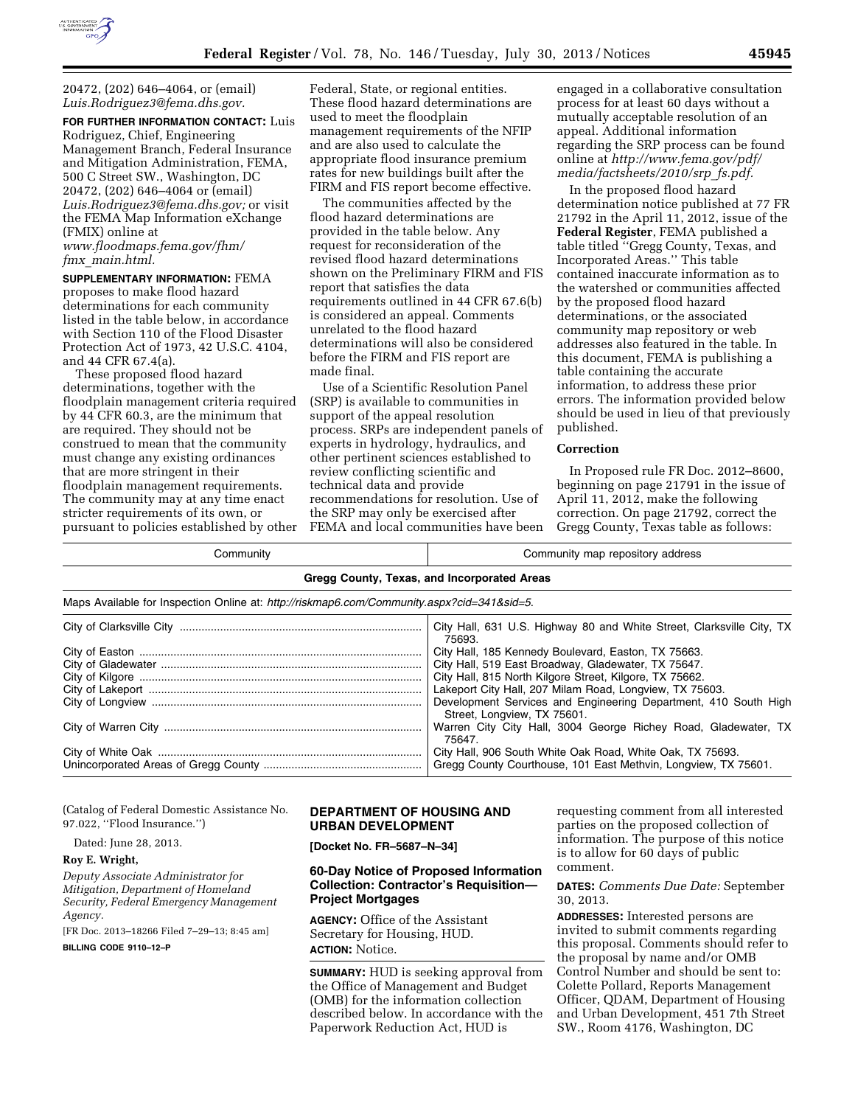

20472, (202) 646–4064, or (email) *[Luis.Rodriguez3@fema.dhs.gov.](mailto:Luis.Rodriguez3@fema.dhs.gov)* 

**FOR FURTHER INFORMATION CONTACT:** Luis Rodriguez, Chief, Engineering Management Branch, Federal Insurance and Mitigation Administration, FEMA, 500 C Street SW., Washington, DC 20472, (202) 646–4064 or (email) *[Luis.Rodriguez3@fema.dhs.gov;](mailto:Luis.Rodriguez3@fema.dhs.gov)* or visit the FEMA Map Information eXchange (FMIX) online at *[www.floodmaps.fema.gov/fhm/](http://www.floodmaps.fema.gov/fhm/fmx_main.html)* 

*fmx*\_*[main.html.](http://www.floodmaps.fema.gov/fhm/fmx_main.html)* 

**SUPPLEMENTARY INFORMATION:** FEMA proposes to make flood hazard determinations for each community listed in the table below, in accordance with Section 110 of the Flood Disaster Protection Act of 1973, 42 U.S.C. 4104, and 44 CFR 67.4(a).

These proposed flood hazard determinations, together with the floodplain management criteria required by 44 CFR 60.3, are the minimum that are required. They should not be construed to mean that the community must change any existing ordinances that are more stringent in their floodplain management requirements. The community may at any time enact stricter requirements of its own, or pursuant to policies established by other

Federal, State, or regional entities. These flood hazard determinations are used to meet the floodplain management requirements of the NFIP and are also used to calculate the appropriate flood insurance premium rates for new buildings built after the FIRM and FIS report become effective.

The communities affected by the flood hazard determinations are provided in the table below. Any request for reconsideration of the revised flood hazard determinations shown on the Preliminary FIRM and FIS report that satisfies the data requirements outlined in 44 CFR 67.6(b) is considered an appeal. Comments unrelated to the flood hazard determinations will also be considered before the FIRM and FIS report are made final.

Use of a Scientific Resolution Panel (SRP) is available to communities in support of the appeal resolution process. SRPs are independent panels of experts in hydrology, hydraulics, and other pertinent sciences established to review conflicting scientific and technical data and provide recommendations for resolution. Use of the SRP may only be exercised after FEMA and local communities have been

engaged in a collaborative consultation process for at least 60 days without a mutually acceptable resolution of an appeal. Additional information regarding the SRP process can be found online at *[http://www.fema.gov/pdf/](http://www.fema.gov/pdf/media/factsheets/2010/srp_fs.pdf)  [media/factsheets/2010/srp](http://www.fema.gov/pdf/media/factsheets/2010/srp_fs.pdf)*\_*fs.pdf.* 

In the proposed flood hazard determination notice published at 77 FR 21792 in the April 11, 2012, issue of the **Federal Register**, FEMA published a table titled ''Gregg County, Texas, and Incorporated Areas.'' This table contained inaccurate information as to the watershed or communities affected by the proposed flood hazard determinations, or the associated community map repository or web addresses also featured in the table. In this document, FEMA is publishing a table containing the accurate information, to address these prior errors. The information provided below should be used in lieu of that previously published.

### **Correction**

In Proposed rule FR Doc. 2012–8600, beginning on page 21791 in the issue of April 11, 2012, make the following correction. On page 21792, correct the Gregg County, Texas table as follows:

Community Community map repository address

|  | Gregg County, Texas, and Incorporated Areas |  |
|--|---------------------------------------------|--|
|--|---------------------------------------------|--|

Maps Available for Inspection Online at: *<http://riskmap6.com/Community.aspx?cid=341&sid=5>*.

| City Hall, 631 U.S. Highway 80 and White Street, Clarksville City, TX<br>75693.                                                                                       |
|-----------------------------------------------------------------------------------------------------------------------------------------------------------------------|
| City Hall, 185 Kennedy Boulevard, Easton, TX 75663.<br>City Hall, 519 East Broadway, Gladewater, TX 75647.<br>City Hall, 815 North Kilgore Street, Kilgore, TX 75662. |
| Lakeport City Hall, 207 Milam Road, Longview, TX 75603.<br>Development Services and Engineering Department, 410 South High<br>Street, Longview, TX 75601.             |
| Warren City City Hall, 3004 George Richey Road, Gladewater, TX<br>75647.                                                                                              |
| City Hall, 906 South White Oak Road, White Oak, TX 75693.<br>Gregg County Courthouse, 101 East Methvin, Longview, TX 75601.                                           |

(Catalog of Federal Domestic Assistance No. 97.022, ''Flood Insurance.'') Dated: June 28, 2013. **DEPARTMENT OF HOUSING AND URBAN DEVELOPMENT**  requesting comment from all interested parties on the proposed collection of information. The purpose of this notice

### **Roy E. Wright,**

*Deputy Associate Administrator for Mitigation, Department of Homeland Security, Federal Emergency Management Agency.* 

[FR Doc. 2013–18266 Filed 7–29–13; 8:45 am]

**BILLING CODE 9110–12–P** 

**[Docket No. FR–5687–N–34]** 

## **60-Day Notice of Proposed Information Collection: Contractor's Requisition— Project Mortgages**

**AGENCY:** Office of the Assistant Secretary for Housing, HUD. **ACTION:** Notice.

**SUMMARY:** HUD is seeking approval from the Office of Management and Budget (OMB) for the information collection described below. In accordance with the Paperwork Reduction Act, HUD is

is to allow for 60 days of public comment.

**DATES:** *Comments Due Date:* September 30, 2013.

**ADDRESSES:** Interested persons are invited to submit comments regarding this proposal. Comments should refer to the proposal by name and/or OMB Control Number and should be sent to: Colette Pollard, Reports Management Officer, QDAM, Department of Housing and Urban Development, 451 7th Street SW., Room 4176, Washington, DC